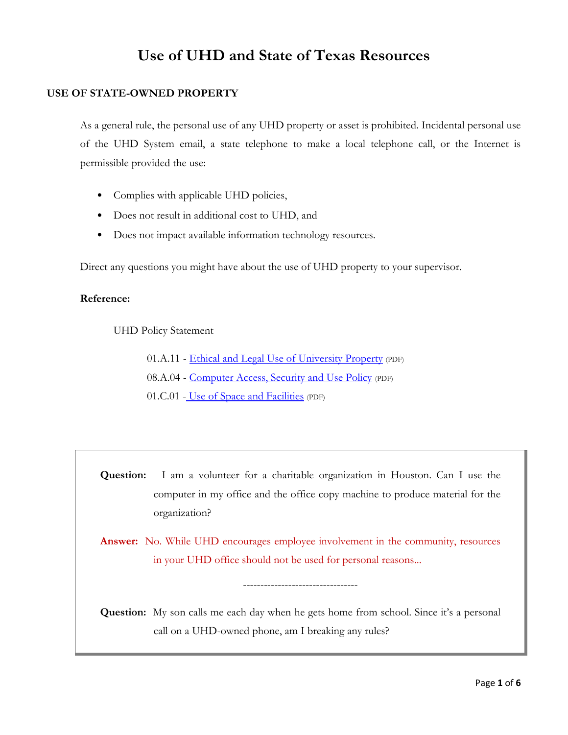# **Use of UHD and State of Texas Resources**

# **USE OF STATE-OWNED PROPERTY**

As a general rule, the personal use of any UHD property or asset is prohibited. Incidental personal use of the UHD System email, a state telephone to make a local telephone call, or the Internet is permissible provided the use:

- Complies with applicable UHD policies,
- Does not result in additional cost to UHD, and
- Does not impact available information technology resources.

Direct any questions you might have about the use of UHD property to your supervisor.

## **Reference:**

UHD Policy Statement

01.A.11 - [Ethical and Legal Use of University Property](http://www.uhd.edu/about/hr/PS01A11.pdf) (PDF) 08.A.04 - [Computer Access, Security and Use Policy](http://www.uhd.edu/about/hr/PS08A04.pdf) (PDF) 01.C.01 - [Use of Space and Facilities](http://www.uhd.edu/about/hr/PS01C01.pdf) (PDF)

**Question:** I am a volunteer for a charitable organization in Houston. Can I use the computer in my office and the office copy machine to produce material for the organization?

**Answer:** No. While UHD encourages employee involvement in the community, resources in your UHD office should not be used for personal reasons...

---------------------------------

**Question:** My son calls me each day when he gets home from school. Since it's a personal call on a UHD-owned phone, am I breaking any rules?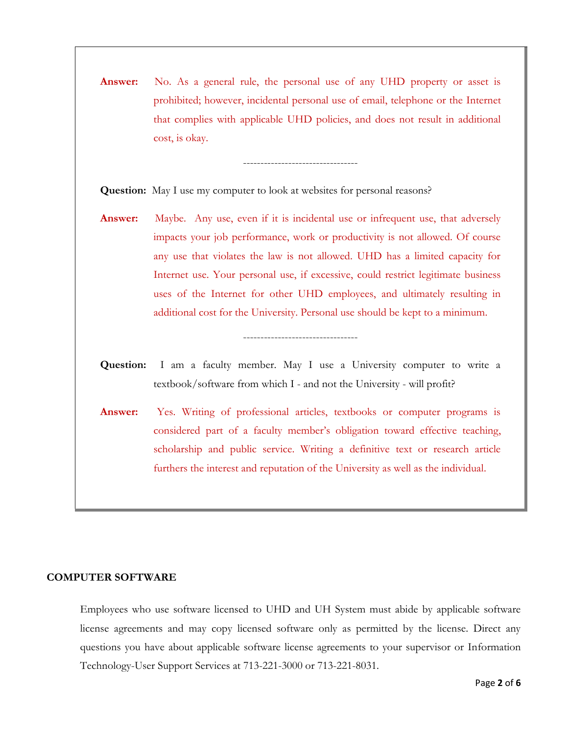**Answer:** No. As a general rule, the personal use of any UHD property or asset is prohibited; however, incidental personal use of email, telephone or the Internet that complies with applicable UHD policies, and does not result in additional cost, is okay.

---------------------------------

**Question:** May I use my computer to look at websites for personal reasons?

- **Answer:** Maybe. Any use, even if it is incidental use or infrequent use, that adversely impacts your job performance, work or productivity is not allowed. Of course any use that violates the law is not allowed. UHD has a limited capacity for Internet use. Your personal use, if excessive, could restrict legitimate business uses of the Internet for other UHD employees, and ultimately resulting in additional cost for the University. Personal use should be kept to a minimum.
- **Question:** I am a faculty member. May I use a University computer to write a textbook/software from which I - and not the University - will profit?

---------------------------------

**Answer:** Yes. Writing of professional articles, textbooks or computer programs is considered part of a faculty member's obligation toward effective teaching, scholarship and public service. Writing a definitive text or research article furthers the interest and reputation of the University as well as the individual.

#### **COMPUTER SOFTWARE**

Employees who use software licensed to UHD and UH System must abide by applicable software license agreements and may copy licensed software only as permitted by the license. Direct any questions you have about applicable software license agreements to your supervisor or Information Technology-User Support Services at 713-221-3000 or 713-221-8031.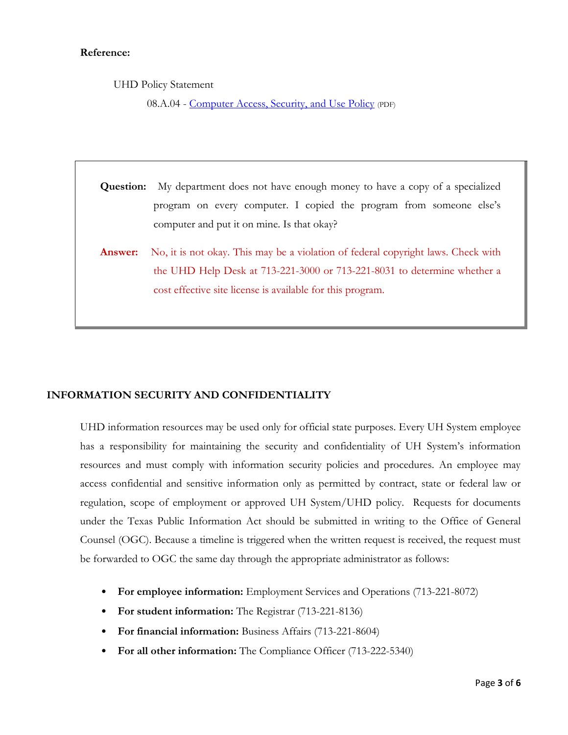#### **Reference:**

UHD Policy Statement

08.A.04 - [Computer Access, Security, and Use Policy](http://www.uhd.edu/about/hr/PS08A04.pdf) (PDF)

**Question:** My department does not have enough money to have a copy of a specialized program on every computer. I copied the program from someone else's computer and put it on mine. Is that okay?

**Answer:** No, it is not okay. This may be a violation of federal copyright laws. Check with the UHD Help Desk at 713-221-3000 or 713-221-8031 to determine whether a cost effective site license is available for this program.

# **INFORMATION SECURITY AND CONFIDENTIALITY**

UHD information resources may be used only for official state purposes. Every UH System employee has a responsibility for maintaining the security and confidentiality of UH System's information resources and must comply with information security policies and procedures. An employee may access confidential and sensitive information only as permitted by contract, state or federal law or regulation, scope of employment or approved UH System/UHD policy. Requests for documents under the Texas Public Information Act should be submitted in writing to the Office of General Counsel (OGC). Because a timeline is triggered when the written request is received, the request must be forwarded to OGC the same day through the appropriate administrator as follows:

- **For employee information:** Employment Services and Operations (713-221-8072)
- **For student information:** The Registrar (713-221-8136)
- **For financial information:** Business Affairs (713-221-8604)
- **For all other information:** The Compliance Officer (713-222-5340)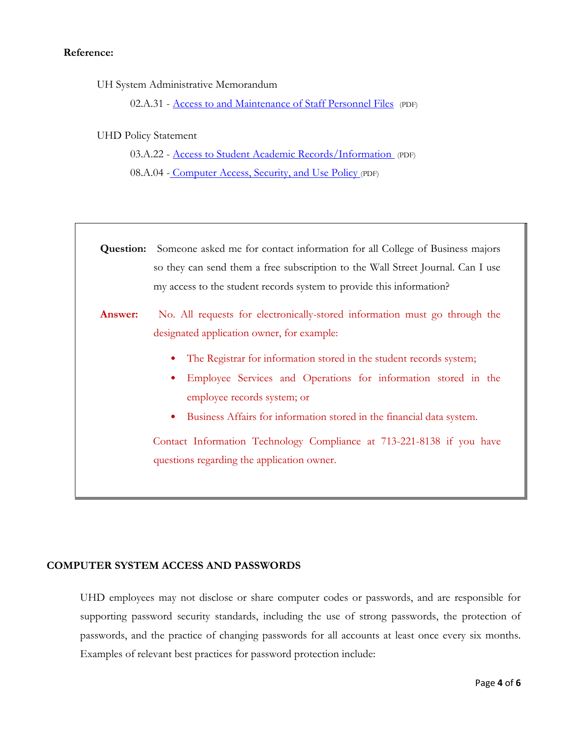#### **Reference:**

UH System Administrative Memorandum

02.A.31 - [Access to and Maintenance of Staff Personnel Files](http://www.uhsa.uh.edu/sam/2HumanResources/2A31.pdf) (PDF)

## UHD Policy Statement

03.A.22 - [Access to Student Academic Records/Information](http://www.uhd.edu/about/hr/PS03A22.pdf) (PDF)

08.A.04 - [Computer Access, Security, and Use Policy](http://www.uhd.edu/about/hr/PS08A04.pdf) (PDF)

| Question: | Someone asked me for contact information for all College of Business majors<br>so they can send them a free subscription to the Wall Street Journal. Can I use<br>my access to the student records system to provide this information?                                                                                                                                                   |
|-----------|------------------------------------------------------------------------------------------------------------------------------------------------------------------------------------------------------------------------------------------------------------------------------------------------------------------------------------------------------------------------------------------|
| Answer:   | No. All requests for electronically-stored information must go through the<br>designated application owner, for example:<br>The Registrar for information stored in the student records system;<br>٠<br>Employee Services and Operations for information stored in the<br>٠<br>employee records system; or<br>Business Affairs for information stored in the financial data system.<br>٠ |
|           | Contact Information Technology Compliance at 713-221-8138 if you have<br>questions regarding the application owner.                                                                                                                                                                                                                                                                      |

#### **COMPUTER SYSTEM ACCESS AND PASSWORDS**

UHD employees may not disclose or share computer codes or passwords, and are responsible for supporting password security standards, including the use of strong passwords, the protection of passwords, and the practice of changing passwords for all accounts at least once every six months. Examples of relevant best practices for password protection include: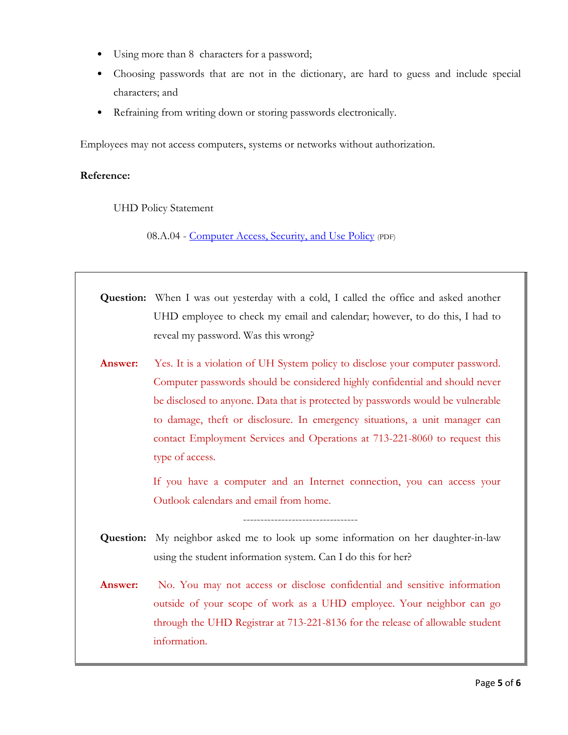- Using more than 8 characters for a password;
- Choosing passwords that are not in the dictionary, are hard to guess and include special characters; and
- Refraining from writing down or storing passwords electronically.

Employees may not access computers, systems or networks without authorization.

## **Reference:**

UHD Policy Statement

08.A.04 - [Computer Access, Security, and Use Policy](http://www.uhd.edu/about/hr/PS08A04.pdf) (PDF)

| <b>Question:</b> When I was out yesterday with a cold, I called the office and asked another |
|----------------------------------------------------------------------------------------------|
| UHD employee to check my email and calendar; however, to do this, I had to                   |
| reveal my password. Was this wrong?                                                          |

Answer: Yes. It is a violation of UH System policy to disclose your computer password. Computer passwords should be considered highly confidential and should never be disclosed to anyone. Data that is protected by passwords would be vulnerable to damage, theft or disclosure. In emergency situations, a unit manager can contact Employment Services and Operations at 713-221-8060 to request this type of access.

> If you have a computer and an Internet connection, you can access your Outlook calendars and email from home.

**Question:** My neighbor asked me to look up some information on her daughter-in-law using the student information system. Can I do this for her?

---------------------------------

**Answer:** No. You may not access or disclose confidential and sensitive information outside of your scope of work as a UHD employee. Your neighbor can go through the UHD Registrar at 713-221-8136 for the release of allowable student information.